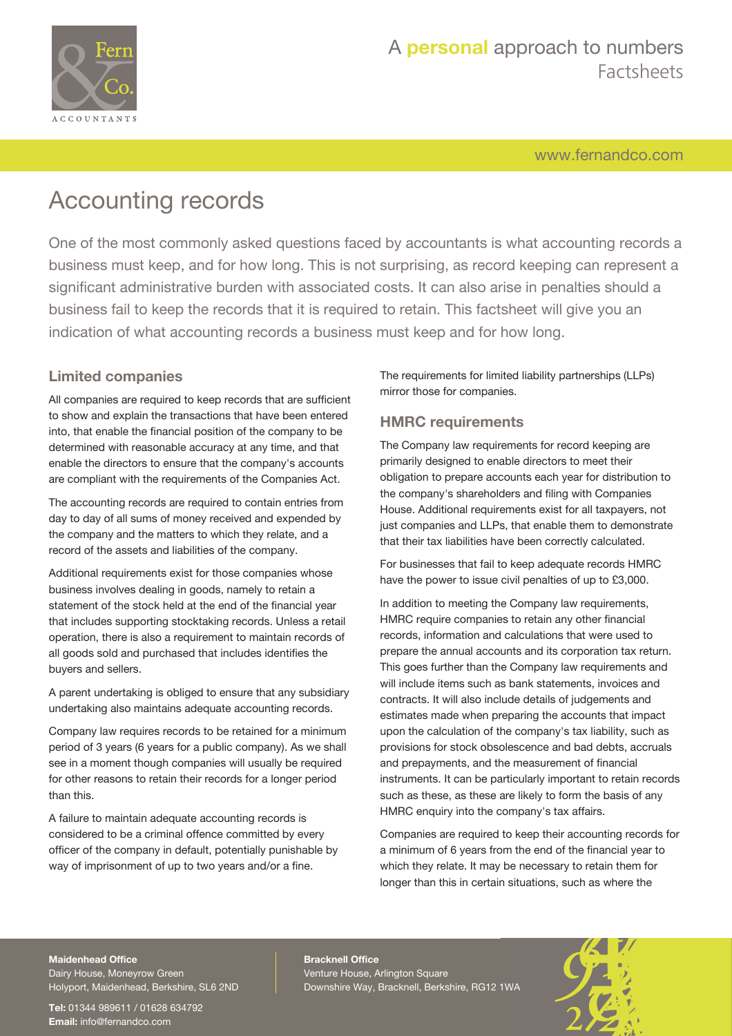

## A **personal** approach to numbers Factsheets

[www.fernandco.com](http://www.fernandco.com)

# Accounting records

One of the most commonly asked questions faced by accountants is what accounting records a business must keep, and for how long. This is not surprising, as record keeping can represent a significant administrative burden with associated costs. It can also arise in penalties should a business fail to keep the records that it is required to retain. This factsheet will give you an indication of what accounting records a business must keep and for how long.

## **Limited companies**

All companies are required to keep records that are sufficient to show and explain the transactions that have been entered into, that enable the financial position of the company to be determined with reasonable accuracy at any time, and that enable the directors to ensure that the company's accounts are compliant with the requirements of the Companies Act.

The accounting records are required to contain entries from day to day of all sums of money received and expended by the company and the matters to which they relate, and a record of the assets and liabilities of the company.

Additional requirements exist for those companies whose business involves dealing in goods, namely to retain a statement of the stock held at the end of the financial year that includes supporting stocktaking records. Unless a retail operation, there is also a requirement to maintain records of all goods sold and purchased that includes identifies the buyers and sellers.

A parent undertaking is obliged to ensure that any subsidiary undertaking also maintains adequate accounting records.

Company law requires records to be retained for a minimum period of 3 years (6 years for a public company). As we shall see in a moment though companies will usually be required for other reasons to retain their records for a longer period than this.

A failure to maintain adequate accounting records is considered to be a criminal offence committed by every officer of the company in default, potentially punishable by way of imprisonment of up to two years and/or a fine.

The requirements for limited liability partnerships (LLPs) mirror those for companies.

### **HMRC requirements**

The Company law requirements for record keeping are primarily designed to enable directors to meet their obligation to prepare accounts each year for distribution to the company's shareholders and filing with Companies House. Additional requirements exist for all taxpayers, not just companies and LLPs, that enable them to demonstrate that their tax liabilities have been correctly calculated.

For businesses that fail to keep adequate records HMRC have the power to issue civil penalties of up to £3,000.

In addition to meeting the Company law requirements, HMRC require companies to retain any other financial records, information and calculations that were used to prepare the annual accounts and its corporation tax return. This goes further than the Company law requirements and will include items such as bank statements, invoices and contracts. It will also include details of judgements and estimates made when preparing the accounts that impact upon the calculation of the company's tax liability, such as provisions for stock obsolescence and bad debts, accruals and prepayments, and the measurement of financial instruments. It can be particularly important to retain records such as these, as these are likely to form the basis of any HMRC enquiry into the company's tax affairs.

Companies are required to keep their accounting records for a minimum of 6 years from the end of the financial year to which they relate. It may be necessary to retain them for longer than this in certain situations, such as where the

### **Maidenhead Office**

Dairy House, Moneyrow Green Holyport, Maidenhead, Berkshire, SL6 2ND

**Tel:** 01344 989611 / 01628 634792 **Email:** [info@fernandco.com](mailto:info@fernandco.com)

**Bracknell Office** Venture House, Arlington Square Downshire Way, Bracknell, Berkshire, RG12 1WA

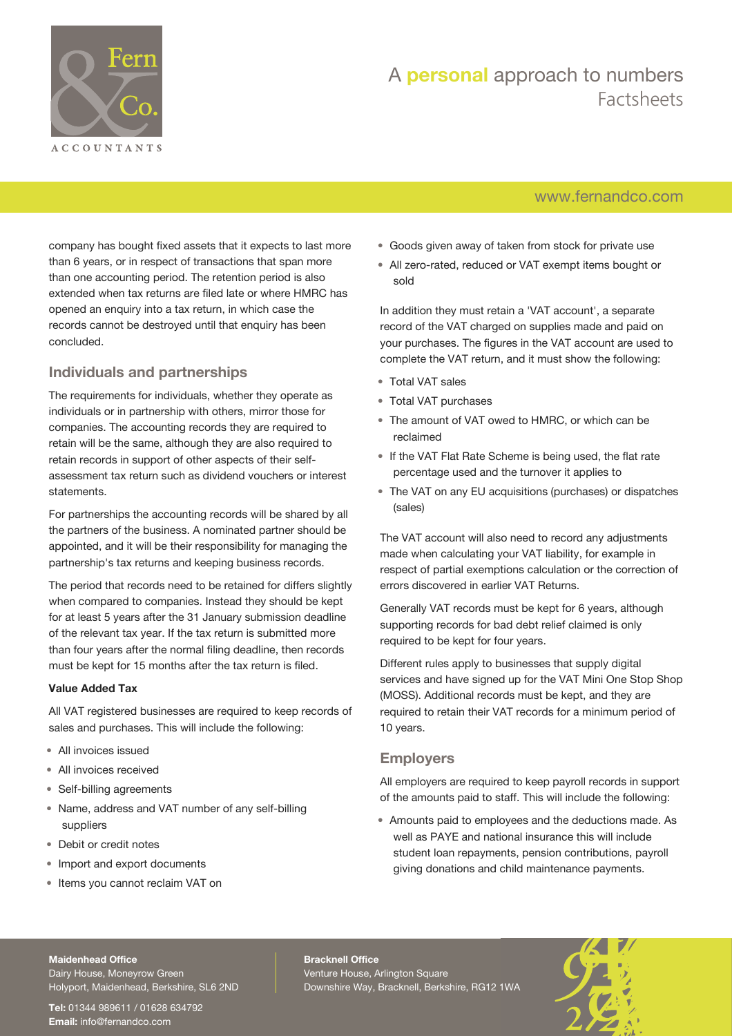

## A **personal** approach to numbers Factsheets

## [www.fernandco.com](http://www.fernandco.com)

company has bought fixed assets that it expects to last more than 6 years, or in respect of transactions that span more than one accounting period. The retention period is also extended when tax returns are filed late or where HMRC has opened an enquiry into a tax return, in which case the records cannot be destroyed until that enquiry has been concluded.

## **Individuals and partnerships**

The requirements for individuals, whether they operate as individuals or in partnership with others, mirror those for companies. The accounting records they are required to retain will be the same, although they are also required to retain records in support of other aspects of their selfassessment tax return such as dividend vouchers or interest statements.

For partnerships the accounting records will be shared by all the partners of the business. A nominated partner should be appointed, and it will be their responsibility for managing the partnership's tax returns and keeping business records.

The period that records need to be retained for differs slightly when compared to companies. Instead they should be kept for at least 5 years after the 31 January submission deadline of the relevant tax year. If the tax return is submitted more than four years after the normal filing deadline, then records must be kept for 15 months after the tax return is filed.

#### **Value Added Tax**

All VAT registered businesses are required to keep records of sales and purchases. This will include the following:

- All invoices issued
- All invoices received
- Self-billing agreements
- Name, address and VAT number of any self-billing suppliers
- Debit or credit notes
- Import and export documents
- Items you cannot reclaim VAT on
- Goods given away of taken from stock for private use
- All zero-rated, reduced or VAT exempt items bought or sold

In addition they must retain a 'VAT account', a separate record of the VAT charged on supplies made and paid on your purchases. The figures in the VAT account are used to complete the VAT return, and it must show the following:

- Total VAT sales
- Total VAT purchases
- The amount of VAT owed to HMRC, or which can be reclaimed
- If the VAT Flat Rate Scheme is being used, the flat rate percentage used and the turnover it applies to
- The VAT on any EU acquisitions (purchases) or dispatches (sales)

The VAT account will also need to record any adjustments made when calculating your VAT liability, for example in respect of partial exemptions calculation or the correction of errors discovered in earlier VAT Returns.

Generally VAT records must be kept for 6 years, although supporting records for bad debt relief claimed is only required to be kept for four years.

Different rules apply to businesses that supply digital services and have signed up for the VAT Mini One Stop Shop (MOSS). Additional records must be kept, and they are required to retain their VAT records for a minimum period of 10 years.

### **Employers**

All employers are required to keep payroll records in support of the amounts paid to staff. This will include the following:

• Amounts paid to employees and the deductions made. As well as PAYE and national insurance this will include student loan repayments, pension contributions, payroll giving donations and child maintenance payments.

#### **Maidenhead Office**

Dairy House, Moneyrow Green Holyport, Maidenhead, Berkshire, SL6 2ND

**Tel:** 01344 989611 / 01628 634792 **Email:** [info@fernandco.com](mailto:info@fernandco.com)

**Bracknell Office** Venture House, Arlington Square Downshire Way, Bracknell, Berkshire, RG12 1WA